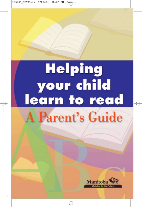## **Helping** your child learn to read **A Parent's Guide**

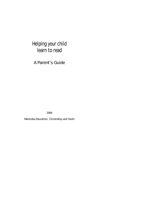### Helping your child learn to read

A Parent's Guide

2004

Manitoba Education, Citizenship and Youth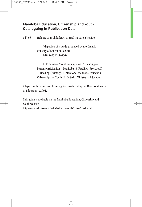#### **Manitoba Education, Citizenship and Youth Cataloguing in Publication Data**

649.68 Helping your child learn to read : a parent's guide

Adaptation of a guide produced by the Ontario Ministry of Education, c2001. ISBN 0-7711-3205-0

1. Reading—Parent participation. 2. Reading— Parent participation—Manitoba. 3. Reading (Preschool). 4. Reading (Primary). I. Manitoba. Manitoba Education, Citizenship and Youth. II. Ontario. Ministry of Education.

Adapted with permission from a guide produced by the Ontario Ministry of Education, c2001.

This guide is available on the Manitoba Education, Citizenship and Youth website:

http://www.edu.gov.mb.ca/ks4/docs/parents/learn/read.html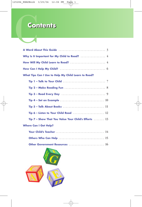### **Contents Contents**

| <b>Contents</b>                                                                               |
|-----------------------------------------------------------------------------------------------|
|                                                                                               |
|                                                                                               |
|                                                                                               |
|                                                                                               |
|                                                                                               |
| What Tips Can I Use to Help My Child Learn to Read?                                           |
| Tip 1 - Talk to Your Child $\ldots \ldots \ldots \ldots \ldots \ldots \ldots \ldots \ldots$   |
|                                                                                               |
|                                                                                               |
|                                                                                               |
|                                                                                               |
| Tip 6 – Listen to Your Child Read $\ldots \ldots \ldots \ldots \ldots \ldots \ldots$          |
| Tip 7 - Show That You Value Your Child's Efforts $\ldots \ldots 13$                           |
| <b>Where Can I Get Help?</b>                                                                  |
|                                                                                               |
|                                                                                               |
| Other Government Resources $\ldots \ldots \ldots \ldots \ldots \ldots \ldots \ldots \quad 16$ |

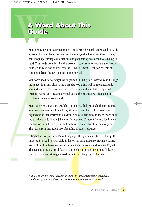## A Word About This<br>Cuide<br>Manitoba Education, Citizenship and Youth provides Ea **Guide A Word About This Guide**

Manitoba Education, Citizenship and Youth provides Early Years teachers with a research-based language arts curriculum. Quality literature, time to ''play'' with language, strategic instruction, and goal setting are means to learning to read. This guide contains tips that parents\* can use to encourage their young children to read and to love reading. It will be most useful for parents of young children who are just beginning to read.

You don't need to do everything suggested in this guide! Instead, read through the suggestions and choose the ones that you think will be most helpful for you and your child. If you are the parent of a child who has exceptional learning needs, you are encouraged to use the tips in a way that suits the particular needs of your child.

Many other resources are available to help you help your child learn to read. You may want to consult teachers, librarians, and the staff of community organizations that work with children. You may also want to learn more about the province-wide Grade 3 Reading Assessment (Grade 4 Lecture for French Immersion) conducted over the first four to six weeks of the school year. The last part of this guide provides a list of other resources.

If English is not your child's first language, this guide can still be of help. It is important to read to your child in his or her first language. Having a strong grasp of the first language will make it easier for your child to learn English. This also applies if your child is in a French Immersion Program. Children transfer skills and strategies used in their first language to French.

*\* In this guide, the word "parents" is meant to include guardians, caregivers, and other family members who can help young children learn to read.*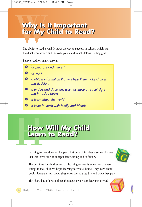## Why Is **Why Is It Important for My Child to Read? Why Is It Important for My Child to Read?**

The ability to read is vital. It paves the way to success in school, which can build self-confidence and motivate your child to set lifelong reading goals.

People read for many reasons:

- P *for pleasure and interest*
- P *for work*
- P *to obtain information that will help them make choices and decisions*
- P *to understand directions (such as those on street signs and in recipe books)*
- P *to learn about the world*
- P *to keep in touch with family and friends*

## How<br>Learn<br>Learning to r **How Will My Child Learn to Read? How Will My Child Learn to Read?**

Learning to read does not happen all at once. It involves a series of stages that lead, over time, to independent reading and to fluency.



The best time for children to start learning to read is when they are very young. In fact, children begin learning to read at home. They learn about books, language, and themselves when they are read to and when they play.

The chart that follows outlines the stages involved in learning to read.

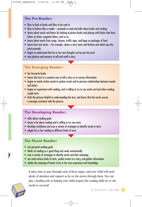#### **The Pre-Reader:**

- likes to look at books and likes to be read to
- likes to behave like a reader pretends to read and talks about books and reading
- learns about words and letters by looking at picture books and playing with blocks that have letters on them, magnetic letters, and so on
- learns about words from songs, rhymes, traffic signs, and logos on packages of food
- learns how text works for example, where a story starts and finishes and which way the print proceeds
- begins to understand that his or her own thoughts can be put into print
- uses pictures and memory to tell and retell a story

#### **The Emerging Reader:**

- has favourite books
- learns that text is a common way to tell a story or to convey information
- begins to match written words to spoken words and to perceive relationships between sounds and letters
- begins to experiment with reading, and is willing to try to say words out loud when reading simple texts
- finds the pictures helpful in understanding the text, and learns that the words convey a message consistent with the pictures

#### **The Developing Reader:**

- talks about reading goals
- knows a lot about reading and is willing to try new texts
- develops confidence and uses a variety of strategies to identify words in texts
- adapts his or her reading to different kinds of texts

#### **The Fluent Reader:**

- sets personal reading goals
- thinks of reading as a good thing and reads automatically
- uses a variety of strategies to identify words and their meanings
- can read various kinds of texts, predict events in a story, and gather information
- relates the meaning of books to his or her own experience and knowledge

It takes time to pass through each of these stages, and your child will need plenty of attention and support as he or she moves through them. You can play a leading role in helping your child acquire the reading skills he or she needs to succeed!

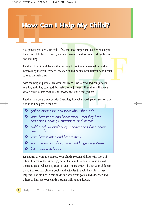# How C **How Can I Help My Child? How Can I Help My Child?**

As a parent, you are your child's first and most important teacher. When you help your child learn to read, you are opening the door to a world of books and learning.

Reading aloud to children is the best way to get them interested in reading. Before long they will grow to love stories and books. Eventually they will want to read on their own.

With the help of parents, children can learn how to read and can practise reading until they can read for their own enjoyment. Then they will have a whole world of information and knowledge at their fingertips!

Reading can be a family activity. Spending time with word games, stories, and books will help your child to:

- P *gather information and learn about the world*
- P *learn how stories and books work that they have beginnings, endings, characters, and themes*
- P *build a rich vocabulary by reading and talking about new words*
- P *learn how to listen and how to think*
- P *learn the sounds of language and language patterns*
- P *fall in love with books*

It's natural to want to compare your child's reading abilities with those of other children of the same age, but not all children develop reading skills at the same pace. What's important is that you are aware of what your child can do so that you can choose books and activities that will help him or her improve. Use the tips in this guide and work with your child's teacher and others to improve your child's reading skills and attitudes.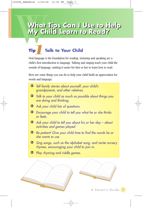## What<br>My Ch<br>Tip To **What Tips Can I Use to Help My Child Learn to Read? What Tips Can I Use to Help My Child Learn to Read?**

## **Tip Talk to Your Child Tip** Talk to Your Child<br>Oral language is the foundation for reading. Listening and speaking are a

child's first introduction to language. Talking and singing teach your child the sounds of language, making it easier for him or her to learn how to read.

Here are some things you can do to help your child build an appreciation for words and language:

P *Tell family stories about yourself, your child's grandparents, and other relatives.* P *Talk to your child as much as possible about things you are doing and thinking.* P *Ask your child lots of questions.* P *Encourage your child to tell you what he or she thinks or feels.* P *Ask your child to tell you about his or her day – about activities and games played.* P *Be patient! Give your child time to find the words he or she wants to use.* P *Sing songs, such as the alphabet song, and recite nursery rhymes, encouraging your child to join in.* P *Play rhyming and riddle games.*

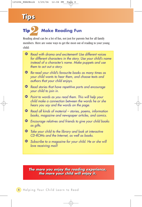## **Tips Tips**

#### **Tip Make Reading Fun 2**<br>*ng* aloud

Reading aloud can be a lot of fun, not just for parents but for all family members. Here are some ways to get the most out of reading to your young child:

| Read with drama and excitement! Use different voices<br>for different characters in the story. Use your child's name<br>instead of a character's name. Make puppets and use<br>them to act out a story. |
|---------------------------------------------------------------------------------------------------------------------------------------------------------------------------------------------------------|
| Re-read your child's favourite books as many times as<br>your child wants to hear them, and choose texts and<br>authors that your child enjoys.                                                         |
| Read stories that have repetitive parts and encourage<br>your child to join in.                                                                                                                         |
| <b>O</b> Point to words as you read them. This will help your<br>child make a connection between the words he or she<br>hears you say and the words on the page.                                        |
| <b>•</b> Read all kinds of material – stories, poems, information<br>books, magazine and newspaper articles, and comics.                                                                                |
| <b>•</b> Encourage relatives and friends to give your child books<br>as gifts.                                                                                                                          |
| <b>•</b> Take your child to the library and look at interactive<br>CD-ROMs and the Internet, as well as books.                                                                                          |
| <b>O</b> Subscribe to a magazine for your child. He or she will<br>love receiving mail!                                                                                                                 |

*The more you enjoy the reading experience, The more you enjoy the reading experience, the more your child will enjoy it. the more your child will enjoy it.*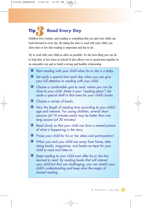#### **Tip Read Every Day Tip**

Children love routine, and reading is something that you and your child can look forward to every day. By taking the time to read with your child, you show him or her that reading is important and fun to do.

Try to read with your child as often as possible. It's the best thing you can do to help him or her learn at school! It also allows you to spend time together in an enjoyable way and to build a strong and healthy relationship.

- P *Start reading with your child when he or she is a baby.*
- P *Set aside a special time each day when you can give your full attention to reading with your child.*
- P *Choose a comfortable spot to read, where you can be close to your child. Make it your "reading place"! Set aside a special shelf in that area for your child's books.*
- P *Choose a variety of books.*
- P *Vary the length of reading time according to your child's age and interests. For young children, several short sessions (of 10 minutes each) may be better than one long session (of 30 minutes).*
- P *Read slowly so that your child can form a mental picture of what is happening in the story.*
- P *Praise your child for his or her ideas and participation!*
- P *When you and your child are away from home, take along books, magazines, and books-on-tape for your child to read and listen to.*
- P *Keep reading to your child even after he or she has learned to read. By reading books that will interest your child but that are challenging, you can stretch your child's understanding and keep alive the magic of shared reading.*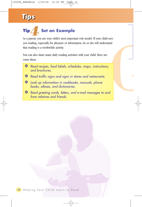## **Tips Tips**

#### **Tip / , Set an Example** *4*<br>**arent.** vo

As a parent, you are your child's most important role model. If your child sees you reading, especially for pleasure or information, he or she will understand that reading is a worthwhile activity.

You can also share many daily reading activities with your child. Here are some ideas:

- P *Read recipes, food labels, schedules, maps, instructions, and brochures.*
- P *Read traffic signs and signs in stores and restaurants.*
- P *Look up information in cookbooks, manuals, phone books, atlases, and dictionaries.*
- P *Read greeting cards, letters, and e-mail messages to and from relatives and friends.*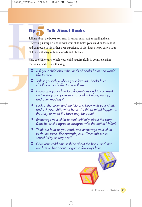### **Tip Talk About Books Talk About Books**<br>Talking about the books you read is just as important as reading them.

Discussing a story or a book with your child helps your child understand it and connect it to his or her own experience of life. It also helps enrich your child's vocabulary with new words and phrases.

Here are some ways to help your child acquire skills in comprehension, reasoning, and critical thinking:

- P *Ask your child about the kinds of books he or she would like to read.*
- P *Talk to your child about your favourite books from childhood, and offer to read them.*
- P *Encourage your child to ask questions and to comment on the story and pictures in a book – before, during, and after reading it.*
- P *Look at the cover and the title of a book with your child, and ask your child what he or she thinks might happen in the story or what the book may be about.*
- P *Encourage your child to think critically about the story. Does he or she agree or disagree with the author? Why?*
- P *Think out loud as you read, and encourage your child to do the same. For example, ask, "Does this make sense? Why or why not?"*
- P *Give your child time to think about the book, and then ask him or her about it again a few days later.*

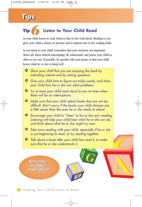## **Tips Tips**

### **Tip Listen to Your Child Read Fip** Listen to Your Child Read<br>As your child learns to read, listen to him or her read aloud. Reading to you

gives your child a chance to practise and to improve his or her reading skills.

As you listen to your child, remember that your reactions are important. Above all, listen without interrupting. Be enthusiastic and praise your child as often as you can. If possible, be specific with your praise so that your child knows what he or she is doing well.

- P *Show your child that you are enjoying the book by indicating interest and by asking questions.*
- P *Give your child time to figure out tricky words, and show your child how he or she can solve problems.*
- P *Try to have your child read aloud to you at times when there will be no interruptions.*
- P *Make sure that your child selects books that are not too difficult. Don't worry if the books your child chooses are a little easier than the ones he or she reads at school.*
- P *Encourage your child to "listen" to his or her own reading. Listening will help your child hear what he or she can do, and think about what he or she might try next.*
- P *Take turns reading with your child, especially if he or she is just beginning to read, or try reading together.*
- P *Talk about a book after your child has read it, to make sure that he or she understands it.*

*Remember Remember to make to make reading fun! reading fun!*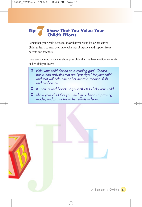#### **Tip Show That You Value Your Child's Efforts** *7*

Remember, your child needs to know that you value his or her efforts. Children learn to read over time, with lots of practice and support from parents and teachers.

Here are some ways you can show your child that you have confidence in his or her ability to learn:

- P *Help your child decide on a reading goal. Choose books and activities that are "just right" for your child and that will help him or her improve reading skills and confidence.*
- P *Be patient and flexible in your efforts to help your child.*
- P *Show your child that you see him or her as a growing reader, and praise his or her efforts to learn.*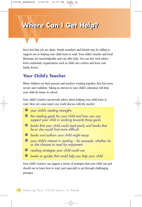# Where **Where Can I Get Help? Where Can I Get Help?**

Don't feel that you are alone. Family members and friends may be willing to support you in helping your child learn to read. Your child's teacher and local librarians are knowledgeable and can offer help. You can also seek advice from community organizations such as child care centres and from your family doctor.

#### **Your Child's Teacher**

When children see their parents and teachers working together, they feel more secure and confident. Taking an interest in your child's education will help your child do better in school.

Your child's teacher can provide advice about helping your child learn to read. Here are some topics you could discuss with the teacher:

- P *your child's reading strengths*
- P *the reading goals for your child and how you can support your child in working towards those goals*
- P *books that your child could read easily and books that he or she would find more difficult*
- P *books and authors your child might enjoy*
- P *your child's interest in reading for example, whether he or she chooses to read for enjoyment*
- P *reading strategies your child could use*
- P *books or guides that could help you help your child*

Your child's teacher can suggest a variety of strategies that your child can and should use to learn how to read, and especially to get through challenging passages.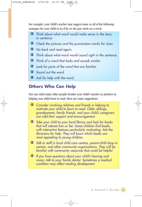For example, your child's teacher may suggest some or all of the following strategies for your child to try if he or she gets stuck on a word:

- P *Think about what word would make sense in the story or sentence.*
- P *Check the pictures and the punctuation marks for clues.*
- P *Go back and read again.*
- P *Think about what word would sound right in the sentence.*
- P *Think of a word that looks and sounds similar.*
- P *Look for parts of the word that are familiar.*
- P *Sound out the word.*
- P *Ask for help with the word.*

#### **Others Who Can Help**

You can enlist many other people besides your child's teacher as partners in helping your child learn to read. Here are some suggestions:

- P *Consider involving relatives and friends in helping to motivate your child to learn to read. Older siblings, grandparents, family friends, and your child's caregivers can add their support and encouragement.*
- P *Take your child to your local library and look for books that will interest him or her. Some children find books with interactive features particularly motivating. Ask the librarians for help. They will know which books are most appealing to young children.*
- P *Talk to staff in local child care centres, parent-child drop-in centres, and other community organizations. They will be familiar with community resources that could be helpful.*
- P *If you have questions about your child's hearing and vision, talk to your family doctor. Sometimes a medical condition may affect reading development.*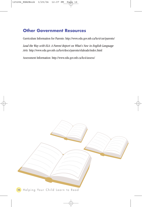#### **Other Government Resources**

Curriculum Information for Parents: http://www.edu.gov.mb.ca/ks4/cur/parents/

*Lead the Way with ELA: A Parent Report on What's New in English Language Arts:* http://www.edu.gov.mb.ca/ks4/docs/parents/elaleads/index.html

Assessment Information: http://www.edu.gov.mb.ca/ks4/assess/